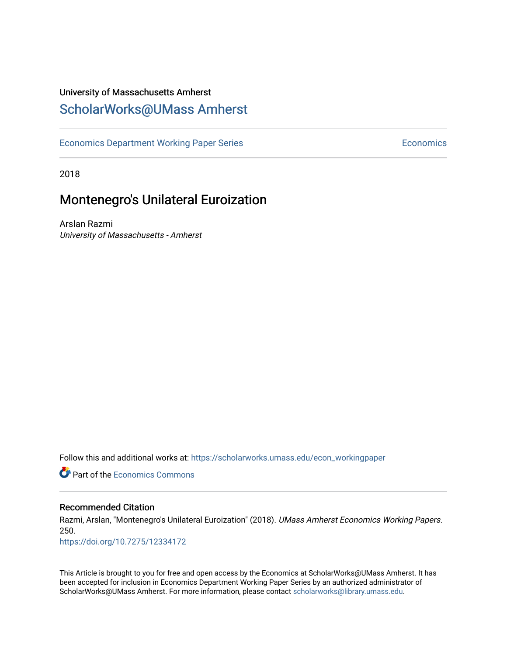# University of Massachusetts Amherst [ScholarWorks@UMass Amherst](https://scholarworks.umass.edu/)

[Economics Department Working Paper Series](https://scholarworks.umass.edu/econ_workingpaper) **Economics** Economics

2018

# Montenegro's Unilateral Euroization

Arslan Razmi University of Massachusetts - Amherst

Follow this and additional works at: [https://scholarworks.umass.edu/econ\\_workingpaper](https://scholarworks.umass.edu/econ_workingpaper?utm_source=scholarworks.umass.edu%2Fecon_workingpaper%2F250&utm_medium=PDF&utm_campaign=PDFCoverPages) 

**C** Part of the [Economics Commons](http://network.bepress.com/hgg/discipline/340?utm_source=scholarworks.umass.edu%2Fecon_workingpaper%2F250&utm_medium=PDF&utm_campaign=PDFCoverPages)

#### Recommended Citation

Razmi, Arslan, "Montenegro's Unilateral Euroization" (2018). UMass Amherst Economics Working Papers. 250.

<https://doi.org/10.7275/12334172>

This Article is brought to you for free and open access by the Economics at ScholarWorks@UMass Amherst. It has been accepted for inclusion in Economics Department Working Paper Series by an authorized administrator of ScholarWorks@UMass Amherst. For more information, please contact [scholarworks@library.umass.edu.](mailto:scholarworks@library.umass.edu)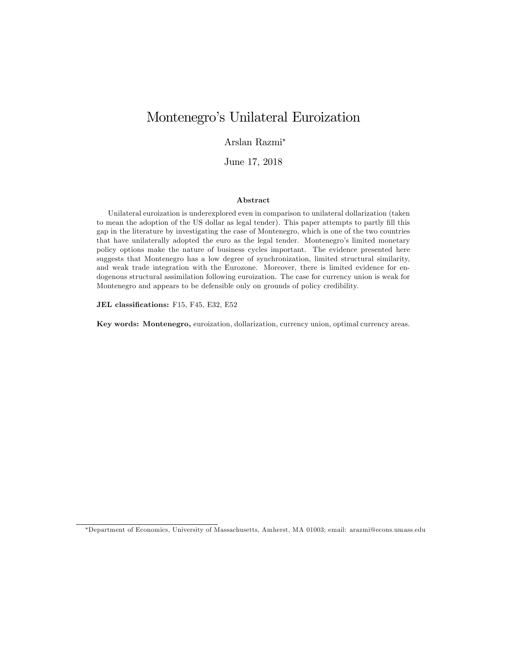# Montenegro's Unilateral Euroization

#### Arslan Razmi

June 17, 2018

#### Abstract

Unilateral euroization is underexplored even in comparison to unilateral dollarization (taken to mean the adoption of the US dollar as legal tender). This paper attempts to partly fill this gap in the literature by investigating the case of Montenegro, which is one of the two countries that have unilaterally adopted the euro as the legal tender. Montenegro's limited monetary policy options make the nature of business cycles important. The evidence presented here suggests that Montenegro has a low degree of synchronization, limited structural similarity, and weak trade integration with the Eurozone. Moreover, there is limited evidence for endogenous structural assimilation following euroization. The case for currency union is weak for Montenegro and appears to be defensible only on grounds of policy credibility.

JEL classifications: F15, F45, E32, E52

Key words: Montenegro, euroization, dollarization, currency union, optimal currency areas.

Department of Economics, University of Massachusetts, Amherst, MA 01003; email: arazmi@econs.umass.edu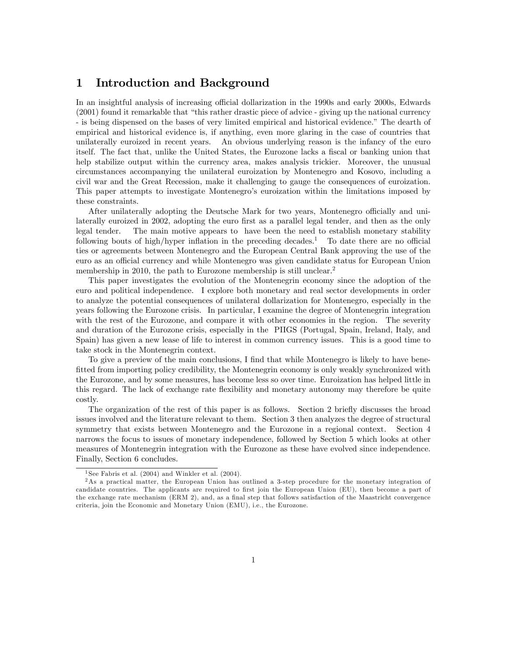#### 1 Introduction and Background

In an insightful analysis of increasing official dollarization in the 1990s and early 2000s, Edwards  $(2001)$  found it remarkable that "this rather drastic piece of advice - giving up the national currency - is being dispensed on the bases of very limited empirical and historical evidence.î The dearth of empirical and historical evidence is, if anything, even more glaring in the case of countries that unilaterally euroized in recent years. An obvious underlying reason is the infancy of the euro itself. The fact that, unlike the United States, the Eurozone lacks a fiscal or banking union that help stabilize output within the currency area, makes analysis trickier. Moreover, the unusual circumstances accompanying the unilateral euroization by Montenegro and Kosovo, including a civil war and the Great Recession, make it challenging to gauge the consequences of euroization. This paper attempts to investigate Montenegroís euroization within the limitations imposed by these constraints.

After unilaterally adopting the Deutsche Mark for two years, Montenegro officially and unilaterally euroized in 2002, adopting the euro first as a parallel legal tender, and then as the only legal tender. The main motive appears to have been the need to establish monetary stability following bouts of high/hyper inflation in the preceding decades.<sup>1</sup> To date there are no official ties or agreements between Montenegro and the European Central Bank approving the use of the euro as an official currency and while Montenegro was given candidate status for European Union membership in 2010, the path to Eurozone membership is still unclear.<sup>2</sup>

This paper investigates the evolution of the Montenegrin economy since the adoption of the euro and political independence. I explore both monetary and real sector developments in order to analyze the potential consequences of unilateral dollarization for Montenegro, especially in the years following the Eurozone crisis. In particular, I examine the degree of Montenegrin integration with the rest of the Eurozone, and compare it with other economies in the region. The severity and duration of the Eurozone crisis, especially in the PIIGS (Portugal, Spain, Ireland, Italy, and Spain) has given a new lease of life to interest in common currency issues. This is a good time to take stock in the Montenegrin context.

To give a preview of the main conclusions, I find that while Montenegro is likely to have benefitted from importing policy credibility, the Montenegrin economy is only weakly synchronized with the Eurozone, and by some measures, has become less so over time. Euroization has helped little in this regard. The lack of exchange rate áexibility and monetary autonomy may therefore be quite costly.

The organization of the rest of this paper is as follows. Section 2 brieáy discusses the broad issues involved and the literature relevant to them. Section 3 then analyzes the degree of structural symmetry that exists between Montenegro and the Eurozone in a regional context. Section 4 narrows the focus to issues of monetary independence, followed by Section 5 which looks at other measures of Montenegrin integration with the Eurozone as these have evolved since independence. Finally, Section 6 concludes.

<sup>&</sup>lt;sup>1</sup> See Fabris et al.  $(2004)$  and Winkler et al.  $(2004)$ .

<sup>&</sup>lt;sup>2</sup>As a practical matter, the European Union has outlined a 3-step procedure for the monetary integration of candidate countries. The applicants are required to first join the European Union (EU), then become a part of the exchange rate mechanism (ERM 2), and, as a final step that follows satisfaction of the Maastricht convergence criteria, join the Economic and Monetary Union (EMU), i.e., the Eurozone.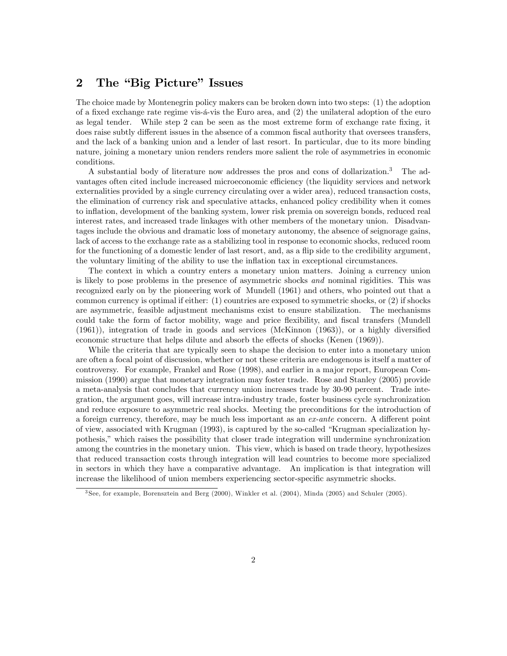### 2 The "Big Picture" Issues

The choice made by Montenegrin policy makers can be broken down into two steps: (1) the adoption of a fixed exchange rate regime vis-a-vis the Euro area, and  $(2)$  the unilateral adoption of the euro as legal tender. While step 2 can be seen as the most extreme form of exchange rate fixing, it does raise subtly different issues in the absence of a common fiscal authority that oversees transfers, and the lack of a banking union and a lender of last resort. In particular, due to its more binding nature, joining a monetary union renders renders more salient the role of asymmetries in economic conditions.

A substantial body of literature now addresses the pros and cons of dollarization.<sup>3</sup> The advantages often cited include increased microeconomic efficiency (the liquidity services and network externalities provided by a single currency circulating over a wider area), reduced transaction costs, the elimination of currency risk and speculative attacks, enhanced policy credibility when it comes to inflation, development of the banking system, lower risk premia on sovereign bonds, reduced real interest rates, and increased trade linkages with other members of the monetary union. Disadvantages include the obvious and dramatic loss of monetary autonomy, the absence of seignorage gains, lack of access to the exchange rate as a stabilizing tool in response to economic shocks, reduced room for the functioning of a domestic lender of last resort, and, as a flip side to the credibility argument, the voluntary limiting of the ability to use the inflation tax in exceptional circumstances.

The context in which a country enters a monetary union matters. Joining a currency union is likely to pose problems in the presence of asymmetric shocks and nominal rigidities. This was recognized early on by the pioneering work of Mundell (1961) and others, who pointed out that a common currency is optimal if either: (1) countries are exposed to symmetric shocks, or (2) if shocks are asymmetric, feasible adjustment mechanisms exist to ensure stabilization. The mechanisms could take the form of factor mobility, wage and price flexibility, and fiscal transfers (Mundell  $(1961)$ ), integration of trade in goods and services (McKinnon  $(1963)$ ), or a highly diversified economic structure that helps dilute and absorb the effects of shocks (Kenen (1969)).

While the criteria that are typically seen to shape the decision to enter into a monetary union are often a focal point of discussion, whether or not these criteria are endogenous is itself a matter of controversy. For example, Frankel and Rose (1998), and earlier in a major report, European Commission (1990) argue that monetary integration may foster trade. Rose and Stanley (2005) provide a meta-analysis that concludes that currency union increases trade by 30-90 percent. Trade integration, the argument goes, will increase intra-industry trade, foster business cycle synchronization and reduce exposure to asymmetric real shocks. Meeting the preconditions for the introduction of a foreign currency, therefore, may be much less important as an  $ex$ -ante concern. A different point of view, associated with Krugman (1993), is captured by the so-called "Krugman specialization hypothesis,îwhich raises the possibility that closer trade integration will undermine synchronization among the countries in the monetary union. This view, which is based on trade theory, hypothesizes that reduced transaction costs through integration will lead countries to become more specialized in sectors in which they have a comparative advantage. An implication is that integration will increase the likelihood of union members experiencing sector-specific asymmetric shocks.

<sup>3</sup> See, for example, Borensztein and Berg (2000), Winkler et al. (2004), Minda (2005) and Schuler (2005).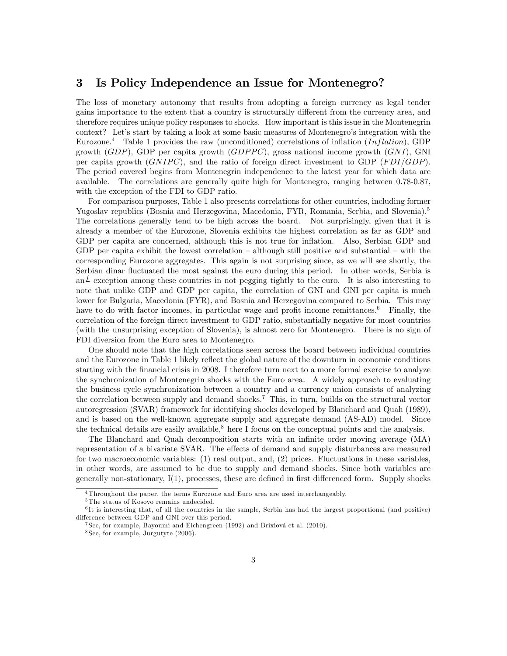#### 3 Is Policy Independence an Issue for Montenegro?

The loss of monetary autonomy that results from adopting a foreign currency as legal tender gains importance to the extent that a country is structurally different from the currency area, and therefore requires unique policy responses to shocks. How important is this issue in the Montenegrin context? Let's start by taking a look at some basic measures of Montenegro's integration with the Eurozone.<sup>4</sup> Table 1 provides the raw (unconditioned) correlations of inflation (Inflation), GDP growth  $(GDP)$ , GDP per capita growth  $(GDPPC)$ , gross national income growth  $(GNI)$ , GNI per capita growth  $(GNIPC)$ , and the ratio of foreign direct investment to GDP  $(FDI/GDP)$ . The period covered begins from Montenegrin independence to the latest year for which data are available. The correlations are generally quite high for Montenegro, ranging between 0.78-0.87, with the exception of the FDI to GDP ratio.

For comparison purposes, Table 1 also presents correlations for other countries, including former Yugoslav republics (Bosnia and Herzegovina, Macedonia, FYR, Romania, Serbia, and Slovenia).<sup>5</sup> The correlations generally tend to be high across the board. Not surprisingly, given that it is already a member of the Eurozone, Slovenia exhibits the highest correlation as far as GDP and GDP per capita are concerned, although this is not true for inflation. Also, Serbian GDP and GDP per capita exhibit the lowest correlation  $-$  although still positive and substantial  $-$  with the corresponding Eurozone aggregates. This again is not surprising since, as we will see shortly, the Serbian dinar fluctuated the most against the euro during this period. In other words, Serbia is an<sup> $I$ </sup> exception among these countries in not pegging tightly to the euro. It is also interesting to note that unlike GDP and GDP per capita, the correlation of GNI and GNI per capita is much lower for Bulgaria, Macedonia (FYR), and Bosnia and Herzegovina compared to Serbia. This may have to do with factor incomes, in particular wage and profit income remittances.<sup>6</sup> Finally, the correlation of the foreign direct investment to GDP ratio, substantially negative for most countries (with the unsurprising exception of Slovenia), is almost zero for Montenegro. There is no sign of FDI diversion from the Euro area to Montenegro.

One should note that the high correlations seen across the board between individual countries and the Eurozone in Table 1 likely reflect the global nature of the downturn in economic conditions starting with the financial crisis in 2008. I therefore turn next to a more formal exercise to analyze the synchronization of Montenegrin shocks with the Euro area. A widely approach to evaluating the business cycle synchronization between a country and a currency union consists of analyzing the correlation between supply and demand shocks.<sup>7</sup> This, in turn, builds on the structural vector autoregression (SVAR) framework for identifying shocks developed by Blanchard and Quah (1989), and is based on the well-known aggregate supply and aggregate demand (AS-AD) model. Since the technical details are easily available, $8$  here I focus on the conceptual points and the analysis.

The Blanchard and Quah decomposition starts with an infinite order moving average (MA) representation of a bivariate SVAR. The effects of demand and supply disturbances are measured for two macroeconomic variables: (1) real output, and, (2) prices. Fluctuations in these variables, in other words, are assumed to be due to supply and demand shocks. Since both variables are generally non-stationary,  $I(1)$ , processes, these are defined in first differenced form. Supply shocks

<sup>4</sup> Throughout the paper, the terms Eurozone and Euro area are used interchangeably.

<sup>5</sup> The status of Kosovo remains undecided.

<sup>&</sup>lt;sup>6</sup>It is interesting that, of all the countries in the sample, Serbia has had the largest proportional (and positive) difference between GDP and GNI over this period.

<sup>&</sup>lt;sup>7</sup> See, for example, Bayoumi and Eichengreen  $(1992)$  and Brixiová et al.  $(2010)$ .

<sup>8</sup> See, for example, Jurgutyte (2006).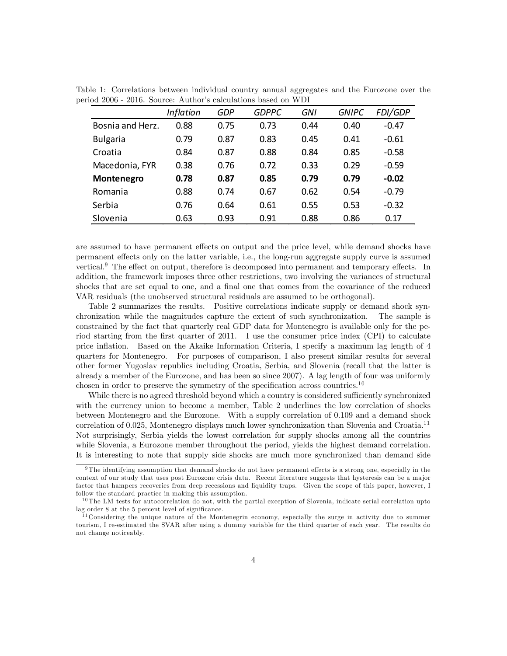|                  | <b>Inflation</b> | <b>GDP</b> | <i>GDPPC</i> | <b>GNI</b> | <b>GNIPC</b> | FDI/GDP |
|------------------|------------------|------------|--------------|------------|--------------|---------|
| Bosnia and Herz. | 0.88             | 0.75       | 0.73         | 0.44       | 0.40         | $-0.47$ |
| <b>Bulgaria</b>  | 0.79             | 0.87       | 0.83         | 0.45       | 0.41         | $-0.61$ |
| Croatia          | 0.84             | 0.87       | 0.88         | 0.84       | 0.85         | $-0.58$ |
| Macedonia, FYR   | 0.38             | 0.76       | 0.72         | 0.33       | 0.29         | $-0.59$ |
| Montenegro       | 0.78             | 0.87       | 0.85         | 0.79       | 0.79         | $-0.02$ |
| Romania          | 0.88             | 0.74       | 0.67         | 0.62       | 0.54         | $-0.79$ |
| Serbia           | 0.76             | 0.64       | 0.61         | 0.55       | 0.53         | $-0.32$ |
| Slovenia         | 0.63             | 0.93       | 0.91         | 0.88       | 0.86         | 0.17    |

Table 1: Correlations between individual country annual aggregates and the Eurozone over the period 2006 - 2016. Source: Author's calculations based on WDI

are assumed to have permanent effects on output and the price level, while demand shocks have permanent effects only on the latter variable, i.e., the long-run aggregate supply curve is assumed vertical. $9$  The effect on output, therefore is decomposed into permanent and temporary effects. In addition, the framework imposes three other restrictions, two involving the variances of structural shocks that are set equal to one, and a final one that comes from the covariance of the reduced VAR residuals (the unobserved structural residuals are assumed to be orthogonal).

Table 2 summarizes the results. Positive correlations indicate supply or demand shock synchronization while the magnitudes capture the extent of such synchronization. The sample is constrained by the fact that quarterly real GDP data for Montenegro is available only for the period starting from the first quarter of 2011. I use the consumer price index (CPI) to calculate price inflation. Based on the Akaike Information Criteria, I specify a maximum lag length of 4 quarters for Montenegro. For purposes of comparison, I also present similar results for several other former Yugoslav republics including Croatia, Serbia, and Slovenia (recall that the latter is already a member of the Eurozone, and has been so since 2007). A lag length of four was uniformly chosen in order to preserve the symmetry of the specification across countries.<sup>10</sup>

While there is no agreed threshold beyond which a country is considered sufficiently synchronized with the currency union to become a member, Table 2 underlines the low correlation of shocks between Montenegro and the Eurozone. With a supply correlation of 0.109 and a demand shock correlation of 0.025, Montenegro displays much lower synchronization than Slovenia and Croatia.<sup>11</sup> Not surprisingly, Serbia yields the lowest correlation for supply shocks among all the countries while Slovenia, a Eurozone member throughout the period, yields the highest demand correlation. It is interesting to note that supply side shocks are much more synchronized than demand side

 $9$ The identifying assumption that demand shocks do not have permanent effects is a strong one, especially in the context of our study that uses post Eurozone crisis data. Recent literature suggests that hysteresis can be a major factor that hampers recoveries from deep recessions and liquidity traps. Given the scope of this paper, however, I follow the standard practice in making this assumption.

<sup>10</sup> The LM tests for autocorrelation do not, with the partial exception of Slovenia, indicate serial correlation upto lag order 8 at the 5 percent level of significance.

<sup>&</sup>lt;sup>11</sup> Considering the unique nature of the Montenegrin economy, especially the surge in activity due to summer tourism, I re-estimated the SVAR after using a dummy variable for the third quarter of each year. The results do not change noticeably.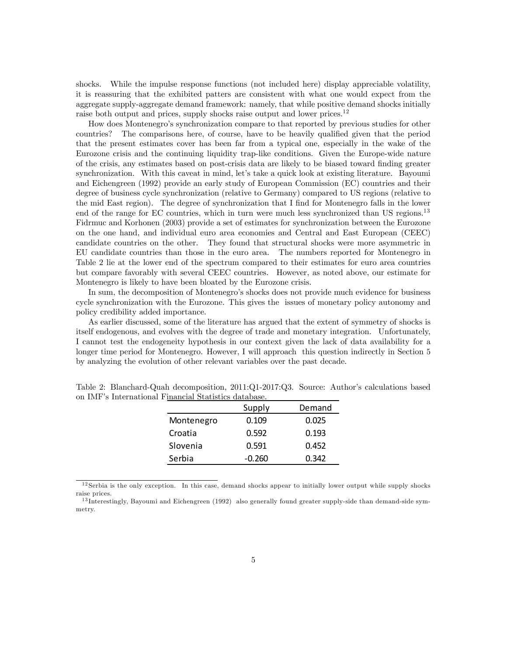shocks. While the impulse response functions (not included here) display appreciable volatility, it is reassuring that the exhibited patters are consistent with what one would expect from the aggregate supply-aggregate demand framework: namely, that while positive demand shocks initially raise both output and prices, supply shocks raise output and lower prices.<sup>12</sup>

How does Montenegroís synchronization compare to that reported by previous studies for other countries? The comparisons here, of course, have to be heavily qualified given that the period that the present estimates cover has been far from a typical one, especially in the wake of the Eurozone crisis and the continuing liquidity trap-like conditions. Given the Europe-wide nature of the crisis, any estimates based on post-crisis data are likely to be biased toward Önding greater synchronization. With this caveat in mind, let's take a quick look at existing literature. Bayoumi and Eichengreen (1992) provide an early study of European Commission (EC) countries and their degree of business cycle synchronization (relative to Germany) compared to US regions (relative to the mid East region). The degree of synchronization that I find for Montenegro falls in the lower end of the range for EC countries, which in turn were much less synchronized than US regions.<sup>13</sup> Fidrmuc and Korhonen (2003) provide a set of estimates for synchronization between the Eurozone on the one hand, and individual euro area economies and Central and East European (CEEC) candidate countries on the other. They found that structural shocks were more asymmetric in EU candidate countries than those in the euro area. The numbers reported for Montenegro in Table 2 lie at the lower end of the spectrum compared to their estimates for euro area countries but compare favorably with several CEEC countries. However, as noted above, our estimate for Montenegro is likely to have been bloated by the Eurozone crisis.

In sum, the decomposition of Montenegro's shocks does not provide much evidence for business cycle synchronization with the Eurozone. This gives the issues of monetary policy autonomy and policy credibility added importance.

As earlier discussed, some of the literature has argued that the extent of symmetry of shocks is itself endogenous, and evolves with the degree of trade and monetary integration. Unfortunately, I cannot test the endogeneity hypothesis in our context given the lack of data availability for a longer time period for Montenegro. However, I will approach this question indirectly in Section 5 by analyzing the evolution of other relevant variables over the past decade.

|            | Supply   | Demand |
|------------|----------|--------|
| Montenegro | 0.109    | 0.025  |
| Croatia    | 0.592    | 0.193  |
| Slovenia   | 0.591    | 0.452  |
| Serbia     | $-0.260$ | 0.342  |

Table 2: Blanchard-Quah decomposition, 2011:Q1-2017:Q3. Source: Author's calculations based on IMF's International Financial Statistics database.

 $12$  Serbia is the only exception. In this case, demand shocks appear to initially lower output while supply shocks raise prices.

<sup>&</sup>lt;sup>13</sup> Interestingly, Bayoumi and Eichengreen (1992) also generally found greater supply-side than demand-side symmetry.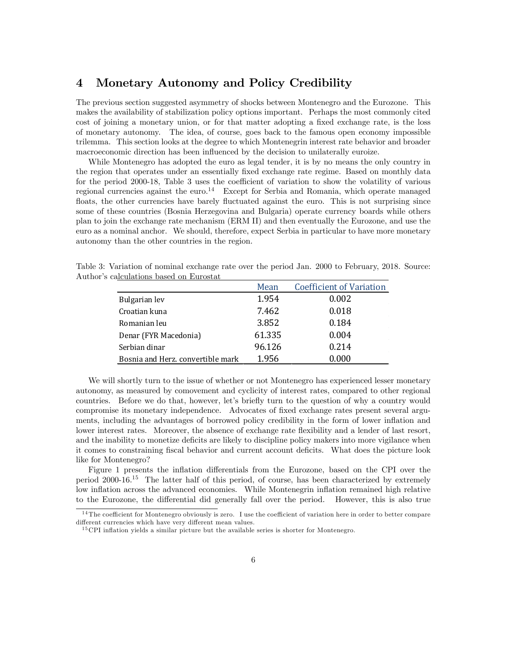#### 4 Monetary Autonomy and Policy Credibility

The previous section suggested asymmetry of shocks between Montenegro and the Eurozone. This makes the availability of stabilization policy options important. Perhaps the most commonly cited cost of joining a monetary union, or for that matter adopting a fixed exchange rate, is the loss of monetary autonomy. The idea, of course, goes back to the famous open economy impossible trilemma. This section looks at the degree to which Montenegrin interest rate behavior and broader macroeconomic direction has been influenced by the decision to unilaterally euroize.

While Montenegro has adopted the euro as legal tender, it is by no means the only country in the region that operates under an essentially fixed exchange rate regime. Based on monthly data for the period 2000-18, Table 3 uses the coefficient of variation to show the volatility of various regional currencies against the euro.<sup>14</sup> Except for Serbia and Romania, which operate managed floats, the other currencies have barely fluctuated against the euro. This is not surprising since some of these countries (Bosnia Herzegovina and Bulgaria) operate currency boards while others plan to join the exchange rate mechanism (ERM II) and then eventually the Eurozone, and use the euro as a nominal anchor. We should, therefore, expect Serbia in particular to have more monetary autonomy than the other countries in the region.

|                                   | Mean   | <b>Coefficient of Variation</b> |
|-----------------------------------|--------|---------------------------------|
| Bulgarian lev                     | 1.954  | 0.002                           |
| Croatian kuna                     | 7.462  | 0.018                           |
| Romanian leu                      | 3.852  | 0.184                           |
| Denar (FYR Macedonia)             | 61.335 | 0.004                           |
| Serbian dinar                     | 96.126 | 0.214                           |
| Bosnia and Herz, convertible mark | 1.956  | 0.000                           |

Table 3: Variation of nominal exchange rate over the period Jan. 2000 to February, 2018. Source: Author's calculations based on Eurostat

We will shortly turn to the issue of whether or not Montenegro has experienced lesser monetary autonomy, as measured by comovement and cyclicity of interest rates, compared to other regional countries. Before we do that, however, let's briefly turn to the question of why a country would compromise its monetary independence. Advocates of fixed exchange rates present several arguments, including the advantages of borrowed policy credibility in the form of lower inflation and lower interest rates. Moreover, the absence of exchange rate flexibility and a lender of last resort, and the inability to monetize deficits are likely to discipline policy makers into more vigilance when it comes to constraining fiscal behavior and current account deficits. What does the picture look like for Montenegro?

Figure 1 presents the inflation differentials from the Eurozone, based on the CPI over the period 2000-16.<sup>15</sup> The latter half of this period, of course, has been characterized by extremely low inflation across the advanced economies. While Montenegrin inflation remained high relative to the Eurozone, the differential did generally fall over the period. However, this is also true

 $14$  The coefficient for Montenegro obviously is zero. I use the coefficient of variation here in order to better compare different currencies which have very different mean values.

<sup>&</sup>lt;sup>15</sup> CPI inflation yields a similar picture but the available series is shorter for Montenegro.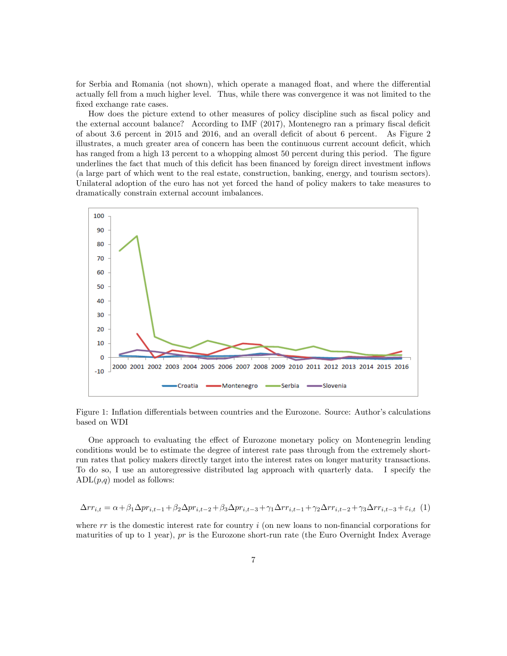for Serbia and Romania (not shown), which operate a managed float, and where the differential actually fell from a much higher level. Thus, while there was convergence it was not limited to the fixed exchange rate cases.

How does the picture extend to other measures of policy discipline such as fiscal policy and the external account balance? According to IMF  $(2017)$ , Montenegro ran a primary fiscal deficit of about 3.6 percent in 2015 and 2016, and an overall deficit of about 6 percent. As Figure 2 illustrates, a much greater area of concern has been the continuous current account deficit, which has ranged from a high 13 percent to a whopping almost 50 percent during this period. The figure underlines the fact that much of this deficit has been financed by foreign direct investment inflows (a large part of which went to the real estate, construction, banking, energy, and tourism sectors). Unilateral adoption of the euro has not yet forced the hand of policy makers to take measures to dramatically constrain external account imbalances.



Figure 1: Inflation differentials between countries and the Eurozone. Source: Author's calculations based on WDI

One approach to evaluating the effect of Eurozone monetary policy on Montenegrin lending conditions would be to estimate the degree of interest rate pass through from the extremely shortrun rates that policy makers directly target into the interest rates on longer maturity transactions. To do so, I use an autoregressive distributed lag approach with quarterly data. I specify the  $ADL(p,q)$  model as follows:

$$
\Delta rr_{i,t} = \alpha + \beta_1 \Delta pr_{i,t-1} + \beta_2 \Delta pr_{i,t-2} + \beta_3 \Delta pr_{i,t-3} + \gamma_1 \Delta rr_{i,t-1} + \gamma_2 \Delta rr_{i,t-2} + \gamma_3 \Delta rr_{i,t-3} + \varepsilon_{i,t} (1)
$$

where  $rr$  is the domestic interest rate for country  $i$  (on new loans to non-financial corporations for maturities of up to 1 year), pr is the Eurozone short-run rate (the Euro Overnight Index Average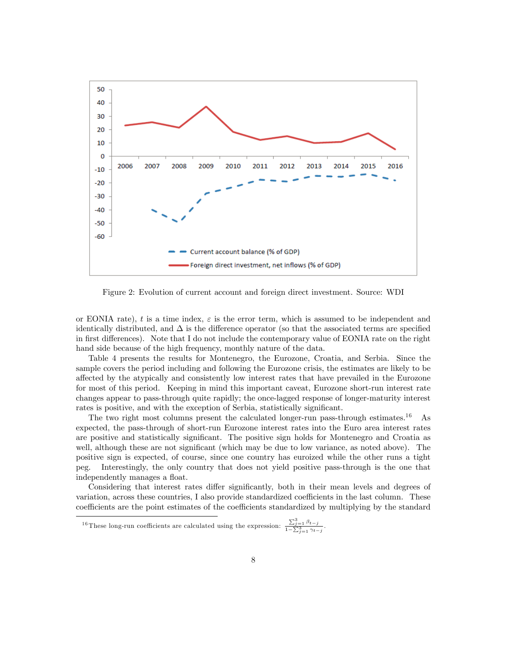

Figure 2: Evolution of current account and foreign direct investment. Source: WDI

or EONIA rate), t is a time index,  $\varepsilon$  is the error term, which is assumed to be independent and identically distributed, and  $\Delta$  is the difference operator (so that the associated terms are specified in first differences). Note that I do not include the contemporary value of EONIA rate on the right hand side because of the high frequency, monthly nature of the data.

Table 4 presents the results for Montenegro, the Eurozone, Croatia, and Serbia. Since the sample covers the period including and following the Eurozone crisis, the estimates are likely to be affected by the atypically and consistently low interest rates that have prevailed in the Eurozone for most of this period. Keeping in mind this important caveat, Eurozone short-run interest rate changes appear to pass-through quite rapidly; the once-lagged response of longer-maturity interest rates is positive, and with the exception of Serbia, statistically significant.

The two right most columns present the calculated longer-run pass-through estimates.<sup>16</sup> As expected, the pass-through of short-run Eurozone interest rates into the Euro area interest rates are positive and statistically significant. The positive sign holds for Montenegro and Croatia as well, although these are not significant (which may be due to low variance, as noted above). The positive sign is expected, of course, since one country has euroized while the other runs a tight peg. Interestingly, the only country that does not yield positive pass-through is the one that independently manages a float.

Considering that interest rates differ significantly, both in their mean levels and degrees of variation, across these countries, I also provide standardized coefficients in the last column. These coefficients are the point estimates of the coefficients standardized by multiplying by the standard

<sup>&</sup>lt;sup>16</sup>These long-run coefficients are calculated using the expression:  $\frac{\sum_{j=1}^{3} \beta_{t-j}}{\sum_{j=1}^{3} \beta_{t-j}}$  $\frac{\sum_{j=1}^{n} p_i - j}{1 - \sum_{j=1}^{3} \gamma_{t-j}}.$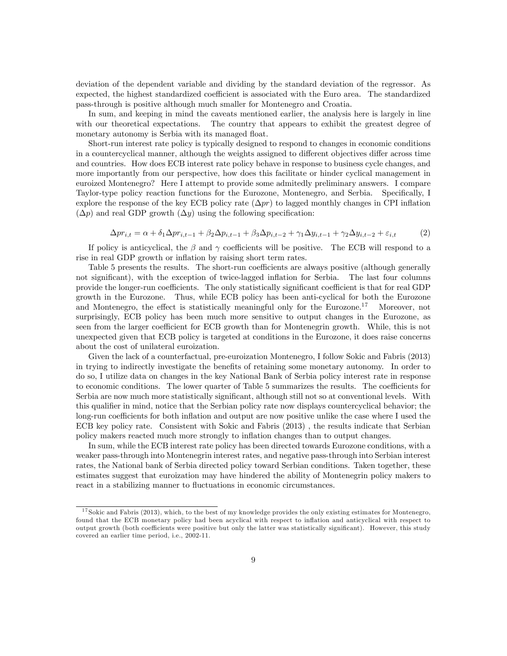deviation of the dependent variable and dividing by the standard deviation of the regressor. As expected, the highest standardized coefficient is associated with the Euro area. The standardized pass-through is positive although much smaller for Montenegro and Croatia.

In sum, and keeping in mind the caveats mentioned earlier, the analysis here is largely in line with our theoretical expectations. The country that appears to exhibit the greatest degree of monetary autonomy is Serbia with its managed float.

Short-run interest rate policy is typically designed to respond to changes in economic conditions in a countercyclical manner, although the weights assigned to different objectives differ across time and countries. How does ECB interest rate policy behave in response to business cycle changes, and more importantly from our perspective, how does this facilitate or hinder cyclical management in euroized Montenegro? Here I attempt to provide some admitedly preliminary answers. I compare Taylor-type policy reaction functions for the Eurozone, Montenegro, and Serbia. Specifically, I explore the response of the key ECB policy rate  $(\Delta pr)$  to lagged monthly changes in CPI inflation  $(\Delta p)$  and real GDP growth  $(\Delta y)$  using the following specification:

$$
\Delta pr_{i,t} = \alpha + \delta_1 \Delta pr_{i,t-1} + \beta_2 \Delta p_{i,t-1} + \beta_3 \Delta p_{i,t-2} + \gamma_1 \Delta y_{i,t-1} + \gamma_2 \Delta y_{i,t-2} + \varepsilon_{i,t} \tag{2}
$$

If policy is anticyclical, the  $\beta$  and  $\gamma$  coefficients will be positive. The ECB will respond to a rise in real GDP growth or inflation by raising short term rates.

Table 5 presents the results. The short-run coefficients are always positive (although generally not significant), with the exception of twice-lagged inflation for Serbia. The last four columns provide the longer-run coefficients. The only statistically significant coefficient is that for real GDP growth in the Eurozone. Thus, while ECB policy has been anti-cyclical for both the Eurozone and Montenegro, the effect is statistically meaningful only for the Eurozone.<sup>17</sup> Moreover, not surprisingly, ECB policy has been much more sensitive to output changes in the Eurozone, as seen from the larger coefficient for ECB growth than for Montenegrin growth. While, this is not unexpected given that ECB policy is targeted at conditions in the Eurozone, it does raise concerns about the cost of unilateral euroization.

Given the lack of a counterfactual, pre-euroization Montenegro, I follow Sokic and Fabris (2013) in trying to indirectly investigate the benefits of retaining some monetary autonomy. In order to do so, I utilize data on changes in the key National Bank of Serbia policy interest rate in response to economic conditions. The lower quarter of Table 5 summarizes the results. The coefficients for Serbia are now much more statistically significant, although still not so at conventional levels. With this qualifier in mind, notice that the Serbian policy rate now displays countercyclical behavior; the long-run coefficients for both inflation and output are now positive unlike the case where I used the ECB key policy rate. Consistent with Sokic and Fabris (2013) , the results indicate that Serbian policy makers reacted much more strongly to ináation changes than to output changes.

In sum, while the ECB interest rate policy has been directed towards Eurozone conditions, with a weaker pass-through into Montenegrin interest rates, and negative pass-through into Serbian interest rates, the National bank of Serbia directed policy toward Serbian conditions. Taken together, these estimates suggest that euroization may have hindered the ability of Montenegrin policy makers to react in a stabilizing manner to fluctuations in economic circumstances.

<sup>&</sup>lt;sup>17</sup> Sokic and Fabris (2013), which, to the best of my knowledge provides the only existing estimates for Montenegro, found that the ECB monetary policy had been acyclical with respect to ináation and anticyclical with respect to output growth (both coefficients were positive but only the latter was statistically significant). However, this study covered an earlier time period, i.e., 2002-11.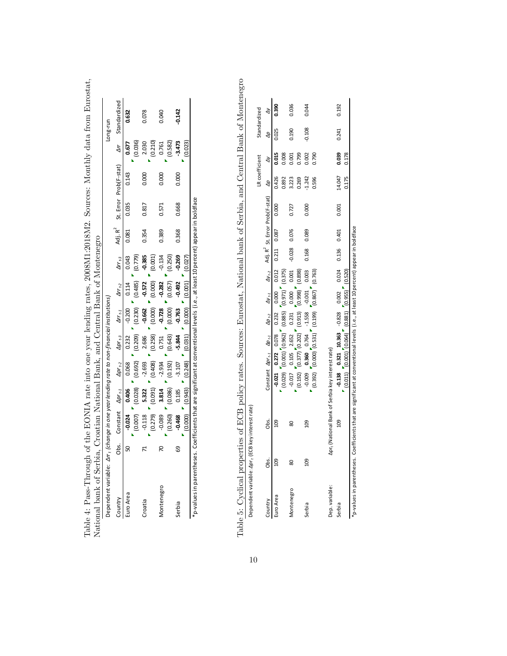| Dependent variable: |      | $\Delta r$ $_{\rm r}$ (change in one year lending rate to non-financial institutions) |         |                    |                      |                         |                         |                           |                     |       |                        |                      | nna-suo-     |
|---------------------|------|---------------------------------------------------------------------------------------|---------|--------------------|----------------------|-------------------------|-------------------------|---------------------------|---------------------|-------|------------------------|----------------------|--------------|
| `ountry             | Obs. | Constant $\Delta p r_{t1}$                                                            |         | $\Delta p r_{t-2}$ | $\Delta p r_{t=3}$   | $\Delta r_{t\text{-}1}$ | $\Delta r_{t\text{-}2}$ | $\Delta r$ <sub>t-3</sub> | Adj. R <sup>2</sup> |       | St. Error Prob(F-stat) | Δr                   | Standardized |
| uro Area            |      | $-0.024$                                                                              | 0.406   | 0.068              | 0.232                | $-0.200$                | 0.114                   | 0.043                     | 0.081               | 0.035 | 0.143                  | 0.677                | 0.632        |
|                     |      | (0.007)                                                                               | (0.028) | (0.692)            | (0.209)              | $(0.230)$<br>$-0.662$   | (0.485)                 | (0.779)                   |                     |       |                        | (0.036)              |              |
| Croatia             |      |                                                                                       | 5.322   | $-2.693$           |                      |                         | -0.572                  | $-0.385$                  | 0.354               | 0.817 | 0.000                  | 2.030                | 0.078        |
|                     |      | $-0.118$<br>(0.279)                                                                   | (0.091) | (0.408)            | 2.686<br>(0.258)     |                         | (0.000)                 | (0.001)                   |                     |       |                        | (0.210)              |              |
| <b>Aontenegro</b>   |      |                                                                                       | 3.814   | $-2.934$           |                      | (0.000)                 | $-0.282$                | $-0.134$                  | 0.389               | 0.571 | 000                    |                      | 0.040        |
|                     |      | $-0.089$<br>$(0.260)$                                                                 | (0.086) | (0.192)            | $0.751$<br>$(0.643)$ | (0.000)                 | (0.057)                 | (0.250)                   |                     |       |                        | $0.761$<br>$(0.582)$ |              |
| Serbia              | ගි   | $-0.468$                                                                              | 0.185   | $-3.107$           | $-5.844$             | $-0.763$                | $-0.492$                | $-0.269$                  | 0.368               | 0.668 | 0000                   | $-3.473$             | 0.142        |
|                     |      | 0.000)                                                                                | (0.943) | (0.248)            | (0.031)              | (0.000)                 | (0.001)                 | (0.027)                   |                     |       |                        |                      |              |

Table 4: Pass-Through of the EONIA rate into one year lending rates, 2008M1:2018M2. Sources: Monthly data from Eurostat, National bank of Serbia, Croatian National Bank, and Central Bank of Montenegro Table 4: Pass-Through of the EONIA rate into one year lending rates, 2008M1:2018M2. Sources: Monthly data from Eurostat,

Table 5: Cyclical properties of ECB policy rates. Sources: Eurostat, National bank of Serbia, and Central Bank of Montenegro Table 5: Cyclical properties of ECB policy rates. Sources: Eurostat, National bank of Serbia, and Central Bank of Montenegro Dependent varjable: Anc. (ECB key interest rate)

|                |                  | Dependent variable: Apr <sub>t</sub> (ECB key interest rate) |                                                                                                                                                    |                                                 |                                                              |                     |         |          |             |                                                                                                                                                |          |                |              |                         |
|----------------|------------------|--------------------------------------------------------------|----------------------------------------------------------------------------------------------------------------------------------------------------|-------------------------------------------------|--------------------------------------------------------------|---------------------|---------|----------|-------------|------------------------------------------------------------------------------------------------------------------------------------------------|----------|----------------|--------------|-------------------------|
|                |                  |                                                              |                                                                                                                                                    |                                                 |                                                              |                     |         |          |             |                                                                                                                                                |          | LR coefficient | Standardized |                         |
| Country        | Obs.             | Obs.                                                         |                                                                                                                                                    |                                                 |                                                              |                     |         |          |             | Constant $\Delta p_{rel}$ $\Delta p_{rel}$ $\Delta p_{rel}$ $\Delta y_{rel}$ $\Delta d j$ , $R^2$ St. Error ProblF-stat) $\Delta p$ $\Delta y$ |          |                | Дp           | $\overline{\mathsf{d}}$ |
| Euro Area      | 1 <sub>O</sub> o | 109                                                          |                                                                                                                                                    | $-0.021$ $0.272$ $0.078$                        | 0.232                                                        | 0.000               | 0.012   |          | 0.211 0.087 | 0.000                                                                                                                                          | 0.426    | 0.015          |              | 0.390                   |
|                |                  |                                                              | (0.029)                                                                                                                                            | $\frac{1}{2}$ (0.001) $\frac{1}{2}$ (0.962)     | (0.885)                                                      | $(0.971)$ $(0.375)$ |         |          |             |                                                                                                                                                | 0.892    | 0.008          |              |                         |
| Montenegro     | 8                | 8                                                            |                                                                                                                                                    |                                                 | 0.231                                                        | 0.000               | 0.001   | $-0.028$ | 0.076       | 0.727                                                                                                                                          | 3.223    | 0.001          | 0.190        | 0.036                   |
|                |                  |                                                              | $-0.017$<br>$(0.192)$                                                                                                                              | $\binom{0.105}{0.377}$ $\binom{2.652}{0.202}$ ( | (0.913)                                                      | (866.0)             | (0.898) |          |             |                                                                                                                                                | 0.269    | 0.799          |              |                         |
| Serbia         | $\frac{8}{2}$    | වු                                                           |                                                                                                                                                    |                                                 |                                                              | $-0.001$            | 0.003   | 0.168    | 0.089       | 0.000                                                                                                                                          | $-1.242$ | 0.002          | $-0.108$     | 0.044                   |
|                |                  |                                                              | (0.392)                                                                                                                                            |                                                 | <b>0.360</b> $0.764$ -1.558<br>$(0.000)^7 (0.531)^7 (0.199)$ | (0.867)             | (0.763) |          |             |                                                                                                                                                | 0.596    | 0.790          |              |                         |
| Dep. variable: |                  | Apr <sub>t</sub> (National Bank of Serbia key interest rate) |                                                                                                                                                    |                                                 |                                                              |                     |         |          |             |                                                                                                                                                |          |                |              |                         |
| Serbia         |                  | $\overline{0}$                                               | $\mathbf{r} = \begin{bmatrix} 1.138 & 0.321 & 10.363 & -0.828 & 0.002 & 0.002 \\ 0.0011 & 0.0001 & 0.0641 & 0.8811 & 0.9551 & 0.520 \end{bmatrix}$ |                                                 |                                                              |                     |         | 0.136    | 0.401       | 0.001                                                                                                                                          | 14.047   | 0.039          | 0.241        | 0.192                   |
|                |                  |                                                              |                                                                                                                                                    |                                                 |                                                              |                     |         |          |             |                                                                                                                                                | 0.175    | 0.178          |              |                         |

\*p-values in parentheses. Coefficients that are significant at conventional levels (i.e., at least 10 percent) appear in boldface \*p-values in parentheses. Coefficients that are significant at conventional levels (i.e., at least 10 percent) appear in boldface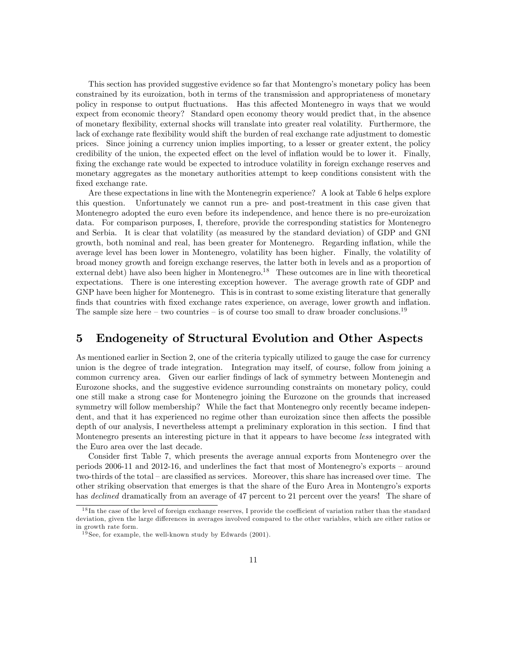This section has provided suggestive evidence so far that Montengro's monetary policy has been constrained by its euroization, both in terms of the transmission and appropriateness of monetary policy in response to output fluctuations. Has this affected Montenegro in ways that we would expect from economic theory? Standard open economy theory would predict that, in the absence of monetary áexibility, external shocks will translate into greater real volatility. Furthermore, the lack of exchange rate flexibility would shift the burden of real exchange rate adjustment to domestic prices. Since joining a currency union implies importing, to a lesser or greater extent, the policy credibility of the union, the expected effect on the level of inflation would be to lower it. Finally, fixing the exchange rate would be expected to introduce volatility in foreign exchange reserves and monetary aggregates as the monetary authorities attempt to keep conditions consistent with the fixed exchange rate.

Are these expectations in line with the Montenegrin experience? A look at Table 6 helps explore this question. Unfortunately we cannot run a pre- and post-treatment in this case given that Montenegro adopted the euro even before its independence, and hence there is no pre-euroization data. For comparison purposes, I, therefore, provide the corresponding statistics for Montenegro and Serbia. It is clear that volatility (as measured by the standard deviation) of GDP and GNI growth, both nominal and real, has been greater for Montenegro. Regarding ináation, while the average level has been lower in Montenegro, volatility has been higher. Finally, the volatility of broad money growth and foreign exchange reserves, the latter both in levels and as a proportion of external debt) have also been higher in Montenegro.<sup>18</sup> These outcomes are in line with theoretical expectations. There is one interesting exception however. The average growth rate of GDP and GNP have been higher for Montenegro. This is in contrast to some existing literature that generally finds that countries with fixed exchange rates experience, on average, lower growth and inflation. The sample size here – two countries – is of course too small to draw broader conclusions.<sup>19</sup>

## 5 Endogeneity of Structural Evolution and Other Aspects

As mentioned earlier in Section 2, one of the criteria typically utilized to gauge the case for currency union is the degree of trade integration. Integration may itself, of course, follow from joining a common currency area. Given our earlier Öndings of lack of symmetry between Montenegin and Eurozone shocks, and the suggestive evidence surrounding constraints on monetary policy, could one still make a strong case for Montenegro joining the Eurozone on the grounds that increased symmetry will follow membership? While the fact that Montenegro only recently became independent, and that it has experienced no regime other than euroization since then affects the possible depth of our analysis, I nevertheless attempt a preliminary exploration in this section. I find that Montenegro presents an interesting picture in that it appears to have become less integrated with the Euro area over the last decade.

Consider first Table 7, which presents the average annual exports from Montenegro over the periods  $2006-11$  and  $2012-16$ , and underlines the fact that most of Montenegro's exports – around two-thirds of the total – are classified as services. Moreover, this share has increased over time. The other striking observation that emerges is that the share of the Euro Area in Montengro's exports has *declined* dramatically from an average of 47 percent to 21 percent over the years! The share of

 $18$  In the case of the level of foreign exchange reserves, I provide the coefficient of variation rather than the standard deviation, given the large differences in averages involved compared to the other variables, which are either ratios or in growth rate form.

<sup>19</sup> See, for example, the well-known study by Edwards (2001).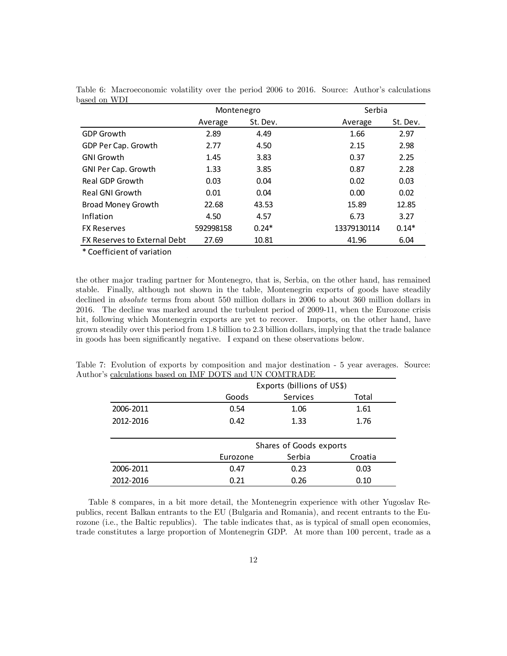|                                     | Montenegro |          | Serbia                 |
|-------------------------------------|------------|----------|------------------------|
|                                     | Average    | St. Dev. | St. Dev.<br>Average    |
| <b>GDP Growth</b>                   | 2.89       | 4.49     | 2.97<br>1.66           |
| GDP Per Cap. Growth                 | 2.77       | 4.50     | 2.98<br>2.15           |
| <b>GNI Growth</b>                   | 1.45       | 3.83     | 2.25<br>0.37           |
| <b>GNI Per Cap. Growth</b>          | 1.33       | 3.85     | 2.28<br>0.87           |
| Real GDP Growth                     | 0.03       | 0.04     | 0.02<br>0.03           |
| Real GNI Growth                     | 0.01       | 0.04     | 0.02<br>0.00           |
| <b>Broad Money Growth</b>           | 22.68      | 43.53    | 15.89<br>12.85         |
| Inflation                           | 4.50       | 4.57     | 3.27<br>6.73           |
| <b>FX Reserves</b>                  | 592998158  | $0.24*$  | $0.14*$<br>13379130114 |
| <b>FX Reserves to External Debt</b> | 27.69      | 10.81    | 6.04<br>41.96          |
|                                     |            |          |                        |

Table 6: Macroeconomic volatility over the period 2006 to 2016. Source: Author's calculations based on WDI

\* Coefficient of variation

the other major trading partner for Montenegro, that is, Serbia, on the other hand, has remained stable. Finally, although not shown in the table, Montenegrin exports of goods have steadily declined in *absolute* terms from about 550 million dollars in 2006 to about 360 million dollars in 2016. The decline was marked around the turbulent period of 2009-11, when the Eurozone crisis hit, following which Montenegrin exports are yet to recover. Imports, on the other hand, have grown steadily over this period from 1.8 billion to 2.3 billion dollars, implying that the trade balance in goods has been significantly negative. I expand on these observations below.

|           |          | Exports (billions of US\$) |         |
|-----------|----------|----------------------------|---------|
|           | Goods    | Services                   | Total   |
| 2006-2011 | 0.54     | 1.06                       | 1.61    |
| 2012-2016 | 0.42     | 1.33                       | 1.76    |
|           |          |                            |         |
|           |          | Shares of Goods exports    |         |
|           | Eurozone | Serbia                     | Croatia |
| 2006-2011 | 0.47     | 0.23                       | 0.03    |
| 2012-2016 | 0.21     | 0.26                       | 0.10    |

Table 7: Evolution of exports by composition and major destination - 5 year averages. Source: Author's calculations based on IMF DOTS and UN COMTRADE

Table 8 compares, in a bit more detail, the Montenegrin experience with other Yugoslav Republics, recent Balkan entrants to the EU (Bulgaria and Romania), and recent entrants to the Eurozone (i.e., the Baltic republics). The table indicates that, as is typical of small open economies, trade constitutes a large proportion of Montenegrin GDP. At more than 100 percent, trade as a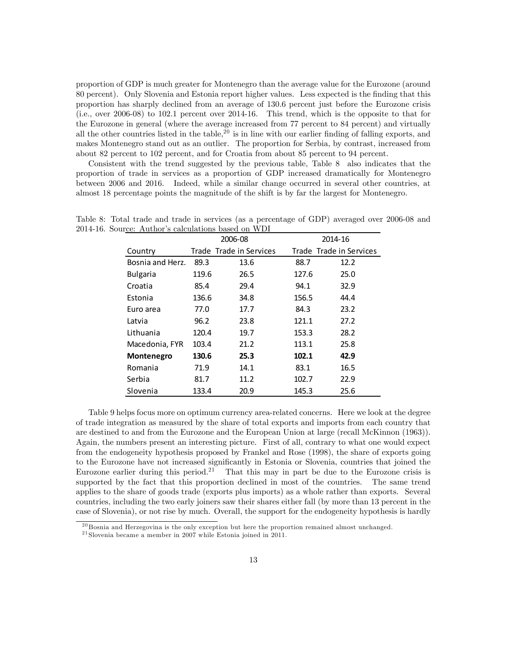proportion of GDP is much greater for Montenegro than the average value for the Eurozone (around 80 percent). Only Slovenia and Estonia report higher values. Less expected is the Önding that this proportion has sharply declined from an average of 130.6 percent just before the Eurozone crisis (i.e., over 2006-08) to 102.1 percent over 2014-16. This trend, which is the opposite to that for the Eurozone in general (where the average increased from 77 percent to 84 percent) and virtually all the other countries listed in the table,  $20$  is in line with our earlier finding of falling exports, and makes Montenegro stand out as an outlier. The proportion for Serbia, by contrast, increased from about 82 percent to 102 percent, and for Croatia from about 85 percent to 94 percent.

Consistent with the trend suggested by the previous table, Table 8 also indicates that the proportion of trade in services as a proportion of GDP increased dramatically for Montenegro between 2006 and 2016. Indeed, while a similar change occurred in several other countries, at almost 18 percentage points the magnitude of the shift is by far the largest for Montenegro.

|                  |       | 2006-08                 |       | 2014-16                 |
|------------------|-------|-------------------------|-------|-------------------------|
| Country          |       | Trade Trade in Services |       | Trade Trade in Services |
| Bosnia and Herz. | 89.3  | 13.6                    | 88.7  | 12.2                    |
| <b>Bulgaria</b>  | 119.6 | 26.5                    | 127.6 | 25.0                    |
| Croatia          | 85.4  | 29.4                    | 94.1  | 32.9                    |
| Estonia          | 136.6 | 34.8                    | 156.5 | 44.4                    |
| Euro area        | 77.0  | 17.7                    | 84.3  | 23.2                    |
| Latvia           | 96.2  | 23.8                    | 121.1 | 27.2                    |
| Lithuania        | 120.4 | 19.7                    | 153.3 | 28.2                    |
| Macedonia, FYR   | 103.4 | 21.2                    | 113.1 | 25.8                    |
| Montenegro       | 130.6 | 25.3                    | 102.1 | 42.9                    |
| Romania          | 71.9  | 14.1                    | 83.1  | 16.5                    |
| Serbia           | 81.7  | 11.2                    | 102.7 | 22.9                    |
| Slovenia         | 133.4 | 20.9                    | 145.3 | 25.6                    |

Table 8: Total trade and trade in services (as a percentage of GDP) averaged over 2006-08 and 2014-16. Source: Author's calculations based on WDI

Table 9 helps focus more on optimum currency area-related concerns. Here we look at the degree of trade integration as measured by the share of total exports and imports from each country that are destined to and from the Eurozone and the European Union at large (recall McKinnon (1963)). Again, the numbers present an interesting picture. First of all, contrary to what one would expect from the endogeneity hypothesis proposed by Frankel and Rose (1998), the share of exports going to the Eurozone have not increased significantly in Estonia or Slovenia, countries that joined the Eurozone earlier during this period.<sup>21</sup> That this may in part be due to the Eurozone crisis is supported by the fact that this proportion declined in most of the countries. The same trend applies to the share of goods trade (exports plus imports) as a whole rather than exports. Several countries, including the two early joiners saw their shares either fall (by more than 13 percent in the case of Slovenia), or not rise by much. Overall, the support for the endogeneity hypothesis is hardly

 $^{20}$ Bosnia and Herzegovina is the only exception but here the proportion remained almost unchanged.

<sup>21</sup> Slovenia became a member in 2007 while Estonia joined in 2011.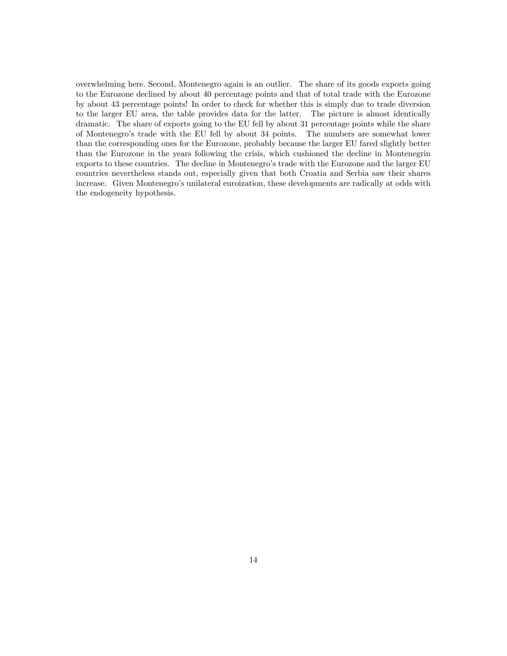overwhelming here. Second, Montenegro again is an outlier. The share of its goods exports going to the Eurozone declined by about 40 percentage points and that of total trade with the Eurozone by about 43 percentage points! In order to check for whether this is simply due to trade diversion to the larger EU area, the table provides data for the latter. The picture is almost identically dramatic. The share of exports going to the EU fell by about 31 percentage points while the share of Montenegroís trade with the EU fell by about 34 points. The numbers are somewhat lower than the corresponding ones for the Eurozone, probably because the larger EU fared slightly better than the Eurozone in the years following the crisis, which cushioned the decline in Montenegrin exports to these countries. The decline in Montenegro's trade with the Eurozone and the larger EU countries nevertheless stands out, especially given that both Croatia and Serbia saw their shares increase. Given Montenegro's unilateral euroization, these developments are radically at odds with the endogeneity hypothesis.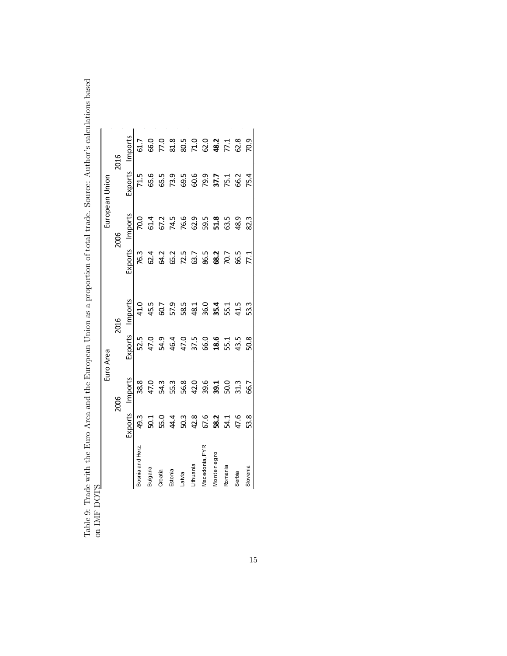Table 9: Trade with the Euro Area and the European Union as a proportion of total trade. Source: Author's calculations based on IMF DOTS Table 9: Trade with the Euro Area and the European Union as a proportion of total trade. Source: Authorís calculations based on IMF DOTS

|               | 2016 | Exports Imports |                | このの as is co. 2 1 1 as is<br>1995 R 33 R 3 2 2 2 2 2 2 2 |         |                                                                     |        |           |                 |            |         |        |  |
|---------------|------|-----------------|----------------|----------------------------------------------------------|---------|---------------------------------------------------------------------|--------|-----------|-----------------|------------|---------|--------|--|
| uropean Union |      |                 | 71.5           |                                                          |         | 6<br>6 6 7 8 6 6 7 <b>7</b> 7 8 9 7<br>6 8 7 8 9 7 <b>7</b> 7 8 9 7 |        |           |                 |            |         |        |  |
|               | 2006 | ixports Imports | 70.0           |                                                          |         |                                                                     |        |           |                 |            |         |        |  |
|               |      |                 | 76.3           |                                                          |         |                                                                     |        |           |                 |            |         |        |  |
|               | 2016 | Exports Imports | 41.0           |                                                          |         | 4 6 7 8 9 4 9 <b>4</b> 9 4 7 8<br>4 6 7 8 9 9 9 <b>9 9</b> 9 4 9    |        |           |                 |            |         |        |  |
| uro Area      |      |                 |                |                                                          |         |                                                                     |        |           |                 |            |         |        |  |
|               | 2006 | Imports         | 38.8           |                                                          |         |                                                                     |        |           |                 |            |         |        |  |
|               |      | Exports         | 49.3           |                                                          |         | 5 5 4 5 5 6 8 7 5 5<br>1 0 4 5 6 7 6 7 7 6 8                        |        |           |                 |            |         |        |  |
|               |      |                 | osnia and Herz | sulgaria                                                 | Croatia | Estonia                                                             | Latvia | Lithuania | /lacedonia, FYR | Aontenegro | Romania | Serbia |  |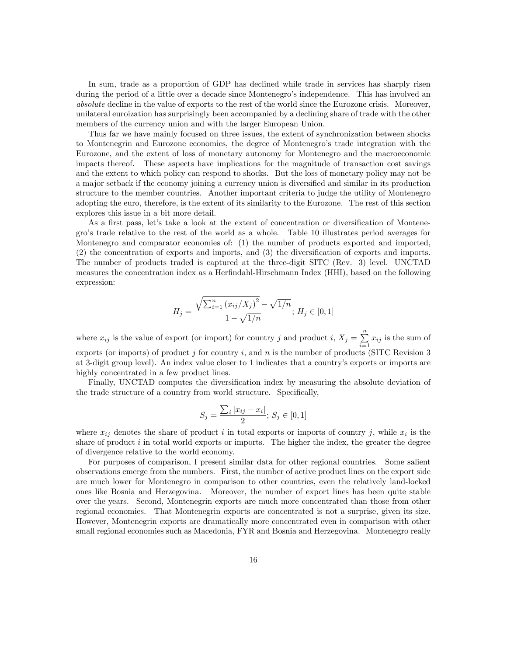In sum, trade as a proportion of GDP has declined while trade in services has sharply risen during the period of a little over a decade since Montenegro's independence. This has involved an absolute decline in the value of exports to the rest of the world since the Eurozone crisis. Moreover, unilateral euroization has surprisingly been accompanied by a declining share of trade with the other members of the currency union and with the larger European Union.

Thus far we have mainly focused on three issues, the extent of synchronization between shocks to Montenegrin and Eurozone economies, the degree of Montenegro's trade integration with the Eurozone, and the extent of loss of monetary autonomy for Montenegro and the macroeconomic impacts thereof. These aspects have implications for the magnitude of transaction cost savings and the extent to which policy can respond to shocks. But the loss of monetary policy may not be a major setback if the economy joining a currency union is diversified and similar in its production structure to the member countries. Another important criteria to judge the utility of Montenegro adopting the euro, therefore, is the extent of its similarity to the Eurozone. The rest of this section explores this issue in a bit more detail.

As a first pass, let's take a look at the extent of concentration or diversification of Montenegroís trade relative to the rest of the world as a whole. Table 10 illustrates period averages for Montenegro and comparator economies of: (1) the number of products exported and imported,  $(2)$  the concentration of exports and imports, and  $(3)$  the diversification of exports and imports. The number of products traded is captured at the three-digit SITC (Rev. 3) level. UNCTAD measures the concentration index as a Herfindahl-Hirschmann Index (HHI), based on the following expression:

$$
H_j = \frac{\sqrt{\sum_{i=1}^n (x_{ij}/X_j)^2} - \sqrt{1/n}}{1 - \sqrt{1/n}}; H_j \in [0, 1]
$$

where  $x_{ij}$  is the value of export (or import) for country j and product i,  $X_j = \sum_{i=1}^{n}$  $\sum_{i=1} x_{ij}$  is the sum of exports (or imports) of product j for country i, and n is the number of products (SITC Revision 3 at 3-digit group level). An index value closer to 1 indicates that a countryís exports or imports are highly concentrated in a few product lines.

Finally, UNCTAD computes the diversification index by measuring the absolute deviation of the trade structure of a country from world structure. Specifically,

$$
S_j = \frac{\sum_i |x_{ij} - x_i|}{2}; \, S_j \in [0, 1]
$$

where  $x_{ij}$  denotes the share of product i in total exports or imports of country j, while  $x_i$  is the share of product  $i$  in total world exports or imports. The higher the index, the greater the degree of divergence relative to the world economy.

For purposes of comparison, I present similar data for other regional countries. Some salient observations emerge from the numbers. First, the number of active product lines on the export side are much lower for Montenegro in comparison to other countries, even the relatively land-locked ones like Bosnia and Herzegovina. Moreover, the number of export lines has been quite stable over the years. Second, Montenegrin exports are much more concentrated than those from other regional economies. That Montenegrin exports are concentrated is not a surprise, given its size. However, Montenegrin exports are dramatically more concentrated even in comparison with other small regional economies such as Macedonia, FYR and Bosnia and Herzegovina. Montenegro really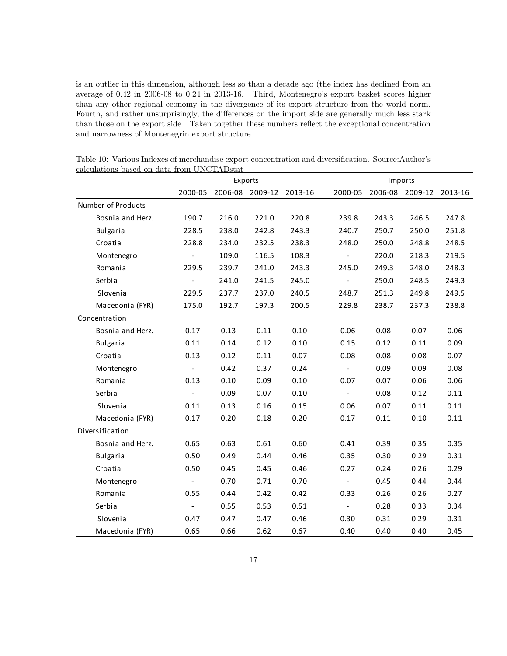is an outlier in this dimension, although less so than a decade ago (the index has declined from an average of 0.42 in 2006-08 to 0.24 in 2013-16. Third, Montenegro's export basket scores higher than any other regional economy in the divergence of its export structure from the world norm. Fourth, and rather unsurprisingly, the differences on the import side are generally much less stark than those on the export side. Taken together these numbers reflect the exceptional concentration and narrowness of Montenegrin export structure.

|                    |                          |       | Exports                 |       |                          | Imports                 |       |         |
|--------------------|--------------------------|-------|-------------------------|-------|--------------------------|-------------------------|-------|---------|
|                    | 2000-05                  |       | 2006-08 2009-12 2013-16 |       |                          | 2000-05 2006-08 2009-12 |       | 2013-16 |
| Number of Products |                          |       |                         |       |                          |                         |       |         |
| Bosnia and Herz.   | 190.7                    | 216.0 | 221.0                   | 220.8 | 239.8                    | 243.3                   | 246.5 | 247.8   |
| <b>Bulgaria</b>    | 228.5                    | 238.0 | 242.8                   | 243.3 | 240.7                    | 250.7                   | 250.0 | 251.8   |
| Croatia            | 228.8                    | 234.0 | 232.5                   | 238.3 | 248.0                    | 250.0                   | 248.8 | 248.5   |
| Montenegro         | $\omega_{\rm{max}}$      | 109.0 | 116.5                   | 108.3 | $\overline{\phantom{a}}$ | 220.0                   | 218.3 | 219.5   |
| Romania            | 229.5                    | 239.7 | 241.0                   | 243.3 | 245.0                    | 249.3                   | 248.0 | 248.3   |
| Serbia             | $\sim$                   | 241.0 | 241.5                   | 245.0 | $\sim$                   | 250.0                   | 248.5 | 249.3   |
| Slovenia           | 229.5                    | 237.7 | 237.0                   | 240.5 | 248.7                    | 251.3                   | 249.8 | 249.5   |
| Macedonia (FYR)    | 175.0                    | 192.7 | 197.3                   | 200.5 | 229.8                    | 238.7                   | 237.3 | 238.8   |
| Concentration      |                          |       |                         |       |                          |                         |       |         |
| Bosnia and Herz.   | 0.17                     | 0.13  | 0.11                    | 0.10  | 0.06                     | 0.08                    | 0.07  | 0.06    |
| <b>Bulgaria</b>    | 0.11                     | 0.14  | 0.12                    | 0.10  | 0.15                     | 0.12                    | 0.11  | 0.09    |
| Croatia            | 0.13                     | 0.12  | 0.11                    | 0.07  | 0.08                     | 0.08                    | 0.08  | 0.07    |
| Montenegro         | $\sim$                   | 0.42  | 0.37                    | 0.24  | $\sim$ $-$               | 0.09                    | 0.09  | 0.08    |
| Romania            | 0.13                     | 0.10  | 0.09                    | 0.10  | 0.07                     | 0.07                    | 0.06  | 0.06    |
| Serbia             | $\overline{\phantom{a}}$ | 0.09  | 0.07                    | 0.10  | $\overline{\phantom{a}}$ | 0.08                    | 0.12  | 0.11    |
| Slovenia           | 0.11                     | 0.13  | 0.16                    | 0.15  | 0.06                     | 0.07                    | 0.11  | 0.11    |
| Macedonia (FYR)    | 0.17                     | 0.20  | 0.18                    | 0.20  | 0.17                     | 0.11                    | 0.10  | 0.11    |
| Diversification    |                          |       |                         |       |                          |                         |       |         |
| Bosnia and Herz.   | 0.65                     | 0.63  | 0.61                    | 0.60  | 0.41                     | 0.39                    | 0.35  | 0.35    |
| <b>Bulgaria</b>    | 0.50                     | 0.49  | 0.44                    | 0.46  | 0.35                     | 0.30                    | 0.29  | 0.31    |
| Croatia            | 0.50                     | 0.45  | 0.45                    | 0.46  | 0.27                     | 0.24                    | 0.26  | 0.29    |
| Montenegro         | $\sim$                   | 0.70  | 0.71                    | 0.70  | $\sim$                   | 0.45                    | 0.44  | 0.44    |
| Romania            | 0.55                     | 0.44  | 0.42                    | 0.42  | 0.33                     | 0.26                    | 0.26  | 0.27    |
| Serbia             | $\overline{\phantom{a}}$ | 0.55  | 0.53                    | 0.51  | $\overline{\phantom{a}}$ | 0.28                    | 0.33  | 0.34    |
| Slovenia           | 0.47                     | 0.47  | 0.47                    | 0.46  | 0.30                     | 0.31                    | 0.29  | 0.31    |
| Macedonia (FYR)    | 0.65                     | 0.66  | 0.62                    | 0.67  | 0.40                     | 0.40                    | 0.40  | 0.45    |

Table 10: Various Indexes of merchandise export concentration and diversification. Source:Author's calculations based on data from UNCTADstat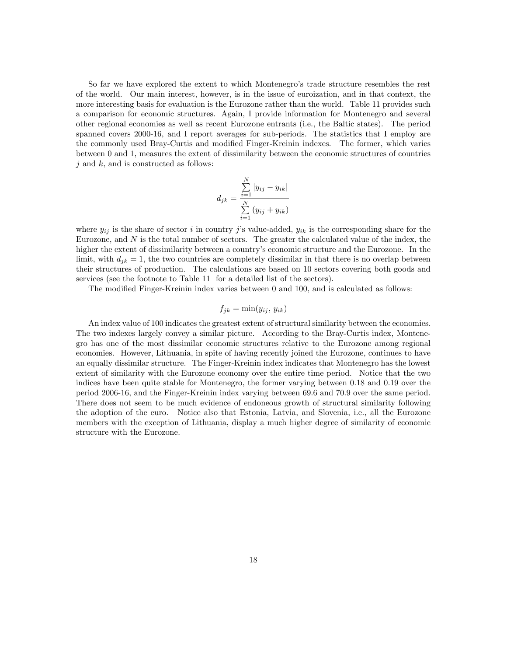So far we have explored the extent to which Montenegro's trade structure resembles the rest of the world. Our main interest, however, is in the issue of euroization, and in that context, the more interesting basis for evaluation is the Eurozone rather than the world. Table 11 provides such a comparison for economic structures. Again, I provide information for Montenegro and several other regional economies as well as recent Eurozone entrants (i.e., the Baltic states). The period spanned covers 2000-16, and I report averages for sub-periods. The statistics that I employ are the commonly used Bray-Curtis and modified Finger-Kreinin indexes. The former, which varies between 0 and 1, measures the extent of dissimilarity between the economic structures of countries  $j$  and  $k$ , and is constructed as follows:

$$
d_{jk} = \frac{\sum_{i=1}^{N} |y_{ij} - y_{ik}|}{\sum_{i=1}^{N} (y_{ij} + y_{ik})}
$$

where  $y_{ij}$  is the share of sector i in country j's value-added,  $y_{ik}$  is the corresponding share for the Eurozone, and  $N$  is the total number of sectors. The greater the calculated value of the index, the higher the extent of dissimilarity between a country's economic structure and the Eurozone. In the limit, with  $d_{ik} = 1$ , the two countries are completely dissimilar in that there is no overlap between their structures of production. The calculations are based on 10 sectors covering both goods and services (see the footnote to Table 11 for a detailed list of the sectors).

The modified Finger-Kreinin index varies between 0 and 100, and is calculated as follows:

$$
f_{jk} = \min(y_{ij}, y_{ik})
$$

An index value of 100 indicates the greatest extent of structural similarity between the economies. The two indexes largely convey a similar picture. According to the Bray-Curtis index, Montenegro has one of the most dissimilar economic structures relative to the Eurozone among regional economies. However, Lithuania, in spite of having recently joined the Eurozone, continues to have an equally dissimilar structure. The Finger-Kreinin index indicates that Montenegro has the lowest extent of similarity with the Eurozone economy over the entire time period. Notice that the two indices have been quite stable for Montenegro, the former varying between 0.18 and 0.19 over the period 2006-16, and the Finger-Kreinin index varying between 69.6 and 70.9 over the same period. There does not seem to be much evidence of endoneous growth of structural similarity following the adoption of the euro. Notice also that Estonia, Latvia, and Slovenia, i.e., all the Eurozone members with the exception of Lithuania, display a much higher degree of similarity of economic structure with the Eurozone.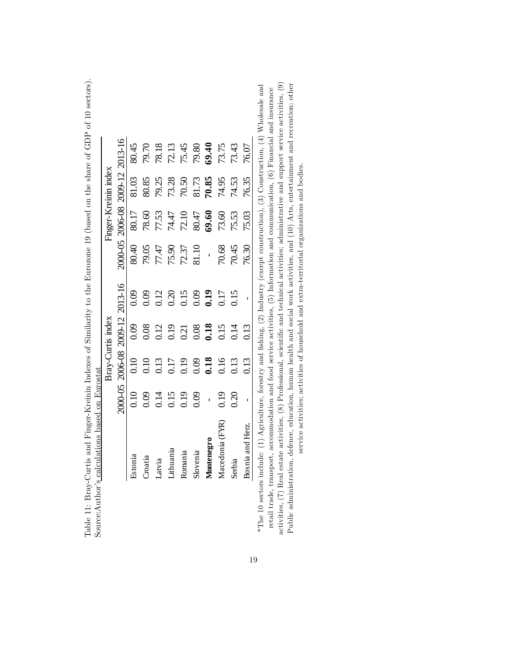|                  |                              |                                 | Bray-Curtis index |      |       |       | Finger-Kreinin index            |       |
|------------------|------------------------------|---------------------------------|-------------------|------|-------|-------|---------------------------------|-------|
|                  |                              | 2000-05 2006-08 2009-12 2013-16 |                   |      |       |       | 2000-05 2006-08 2009-12 2013-16 |       |
| Estonia          | 0.10                         | 0.10                            | 0.09              | 0.09 | 80.40 | 80.17 | 81.03                           | 80.45 |
| Croatia          |                              | 0.10                            | 0.08              | 0.09 | 79.05 | 78.60 | 80.85                           | 79.70 |
| Latvia           |                              | 0.13                            | 0.12              | 0.12 | 77.47 | 77.53 | 79.25                           | 78.18 |
| Lithuania        | 0.09<br>0.14<br>0.15<br>0.19 | 0.17                            | 0.19              | 0.20 | 75.90 | 74.47 | 73.28                           | 72.13 |
| Romania          |                              | 0.19                            | 0.21              | 0.15 | 72.37 | 72.10 | $70.50\,$                       | 75.45 |
| Slovenia         | 0.09                         | 0.09                            |                   |      | 81.10 | 80.47 | 81.73                           | 79.80 |
| Montenegro       |                              | 0.18                            | $0.08$<br>0.18    | 0.19 |       | 69.60 | 70.85                           | 69.40 |
| Macedonia (FYR)  | 0.19                         | 0.16                            | 0.15              | 0.17 | 70.68 | 73.60 | 74.95                           | 73.75 |
| Serbia           | 0.20                         | 0.13                            | 0.14              | 0.15 | 70.45 | 75.53 | 74.53                           | 73.43 |
| Bosnia and Herz. |                              | 0.13                            | 0.13              |      | 76.30 | 75.03 | 76.35                           | 76.07 |

Table 11: Bray-Curtis and Finger-Kreinin Indexes of Similarity to the Eurozone 19 (based on the share of GDP of 10 sectors). Table 11: Bray-Curtis and Finger-Kreinin Indexes of Similarity to the Eurozone 19 (based on the share of GDP of 10 sectors). Source:Author's calculations based on Eurostat Source:Author's calculations based on Eurostat

\*The 10 sectors include: (1) Agriculture, forestry and fishing, (2) Industry (except construction), (3) Construction, (4) Wholesale and activities,  $(7)$  Real estate activities,  $(8)$  Professional, scientific and technical activities; administrative and support service activities,  $(9)$ Public administration, defence, education, human health and social work activities, and (10) Arts, entertainment and recreation; other activities,  $(7)$  Real estate activities,  $(8)$  Professional, scientific and technical activities; administrative and support service activities,  $(9)$ Public administration, defence, education, human health and social work activities, and (10) Arts, entertainment and recreation; other  $*$ The 10 sectors include: (1) Agriculture, forestry and fishing, (2) Industry (except construction), (3) Construction, (4) Wholesale and retail trade, transport, accommodation and food service activities,  $(5)$  Information and communication,  $(6)$  Financial and insurance retail trade, transport, accommodation and food service activities, (5) Information and communication, (6) Financial and insurance service activities; activities of household and extra-territorial organizations and bodies. service activities; activities of household and extra-territorial organizations and bodies.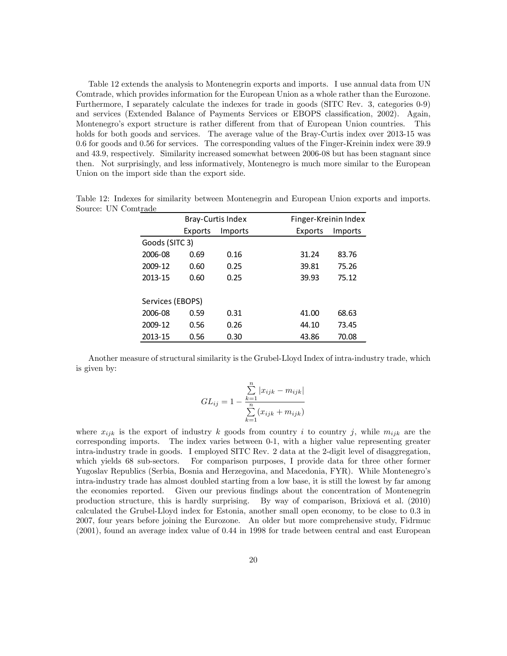Table 12 extends the analysis to Montenegrin exports and imports. I use annual data from UN Comtrade, which provides information for the European Union as a whole rather than the Eurozone. Furthermore, I separately calculate the indexes for trade in goods (SITC Rev. 3, categories 0-9) and services (Extended Balance of Payments Services or EBOPS classification, 2002). Again, Montenegro's export structure is rather different from that of European Union countries. This holds for both goods and services. The average value of the Bray-Curtis index over 2013-15 was 0.6 for goods and 0.56 for services. The corresponding values of the Finger-Kreinin index were 39.9 and 43.9, respectively. Similarity increased somewhat between 2006-08 but has been stagnant since then. Not surprisingly, and less informatively, Montenegro is much more similar to the European Union on the import side than the export side.

|                  |         | <b>Bray-Curtis Index</b> | Finger-Kreinin Index |
|------------------|---------|--------------------------|----------------------|
|                  | Exports | Imports                  | Exports<br>Imports   |
| Goods (SITC 3)   |         |                          |                      |
| 2006-08          | 0.69    | 0.16                     | 83.76<br>31.24       |
| 2009-12          | 0.60    | 0.25                     | 39.81<br>75.26       |
| 2013-15          | 0.60    | 0.25                     | 39.93<br>75.12       |
|                  |         |                          |                      |
| Services (EBOPS) |         |                          |                      |
| 2006-08          | 0.59    | 0.31                     | 68.63<br>41.00       |
| 2009-12          | 0.56    | 0.26                     | 73.45<br>44.10       |
| 2013-15          | 0.56    | 0.30                     | 70.08<br>43.86       |

Table 12: Indexes for similarity between Montenegrin and European Union exports and imports. Source: UN Comtrade

Another measure of structural similarity is the Grubel-Lloyd Index of intra-industry trade, which is given by:

$$
GL_{ij} = 1 - \frac{\sum_{k=1}^{n} |x_{ijk} - m_{ijk}|}{\sum_{k=1}^{n} (x_{ijk} + m_{ijk})}
$$

where  $x_{ijk}$  is the export of industry k goods from country i to country j, while  $m_{ijk}$  are the corresponding imports. The index varies between 0-1, with a higher value representing greater intra-industry trade in goods. I employed SITC Rev. 2 data at the 2-digit level of disaggregation, which yields 68 sub-sectors. For comparison purposes, I provide data for three other former Yugoslav Republics (Serbia, Bosnia and Herzegovina, and Macedonia, FYR). While Montenegro's intra-industry trade has almost doubled starting from a low base, it is still the lowest by far among the economies reported. Given our previous findings about the concentration of Montenegrin production structure, this is hardly surprising. By way of comparison, Brixiová et al.  $(2010)$ calculated the Grubel-Lloyd index for Estonia, another small open economy, to be close to 0.3 in 2007, four years before joining the Eurozone. An older but more comprehensive study, Fidrmuc (2001), found an average index value of 0.44 in 1998 for trade between central and east European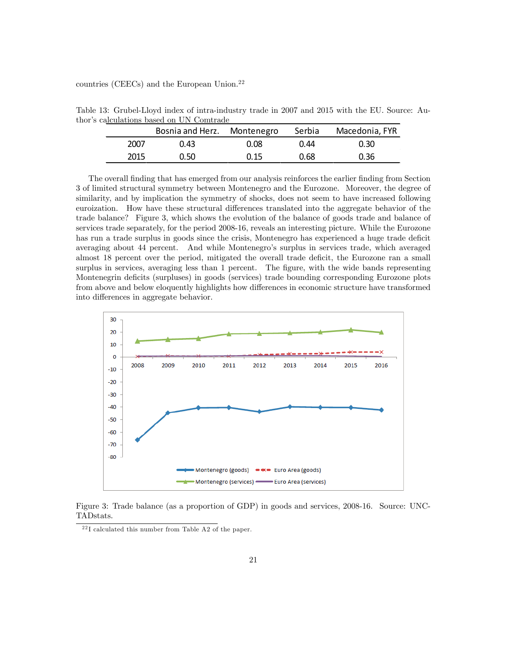#### countries (CEECs) and the European Union.<sup>22</sup>

Table 13: Grubel-Lloyd index of intra-industry trade in 2007 and 2015 with the EU. Source: Author's calculations based on UN Comtrade

|      | Bosnia and Herz. Montenegro |      | Serbia | Macedonia, FYR |
|------|-----------------------------|------|--------|----------------|
| 2007 | 0.43                        | 0.08 | 0.44   | 0.30           |
| 2015 | 0.50                        | 0.15 | 0.68   | 0.36           |

The overall finding that has emerged from our analysis reinforces the earlier finding from Section 3 of limited structural symmetry between Montenegro and the Eurozone. Moreover, the degree of similarity, and by implication the symmetry of shocks, does not seem to have increased following euroization. How have these structural differences translated into the aggregate behavior of the trade balance? Figure 3, which shows the evolution of the balance of goods trade and balance of services trade separately, for the period 2008-16, reveals an interesting picture. While the Eurozone has run a trade surplus in goods since the crisis, Montenegro has experienced a huge trade deficit averaging about 44 percent. And while Montenegro's surplus in services trade, which averaged almost 18 percent over the period, mitigated the overall trade deficit, the Eurozone ran a small surplus in services, averaging less than 1 percent. The figure, with the wide bands representing Montenegrin deficits (surpluses) in goods (services) trade bounding corresponding Eurozone plots from above and below eloquently highlights how differences in economic structure have transformed into differences in aggregate behavior.



Figure 3: Trade balance (as a proportion of GDP) in goods and services, 2008-16. Source: UNC-TADstats.

 $22$ I calculated this number from Table A2 of the paper.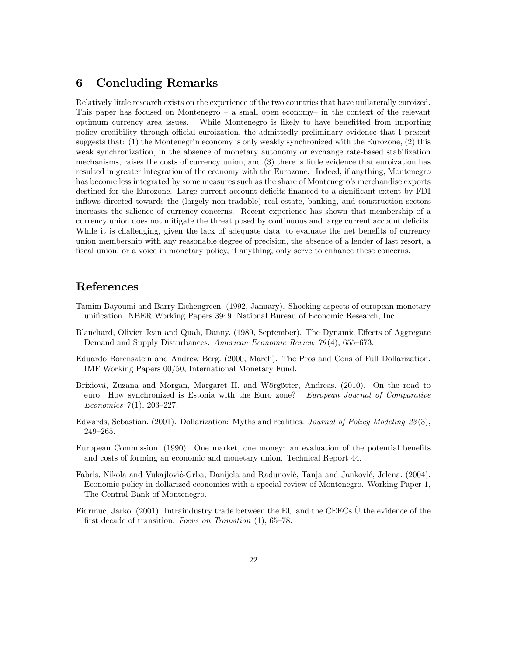### 6 Concluding Remarks

Relatively little research exists on the experience of the two countries that have unilaterally euroized. This paper has focused on Montenegro  $-$  a small open economy- in the context of the relevant optimum currency area issues. While Montenegro is likely to have benefitted from importing policy credibility through official euroization, the admittedly preliminary evidence that I present suggests that: (1) the Montenegrin economy is only weakly synchronized with the Eurozone, (2) this weak synchronization, in the absence of monetary autonomy or exchange rate-based stabilization mechanisms, raises the costs of currency union, and (3) there is little evidence that euroization has resulted in greater integration of the economy with the Eurozone. Indeed, if anything, Montenegro has become less integrated by some measures such as the share of Montenegro's merchandise exports destined for the Eurozone. Large current account deficits financed to a significant extent by FDI inflows directed towards the (largely non-tradable) real estate, banking, and construction sectors increases the salience of currency concerns. Recent experience has shown that membership of a currency union does not mitigate the threat posed by continuous and large current account deficits. While it is challenging, given the lack of adequate data, to evaluate the net benefits of currency union membership with any reasonable degree of precision, the absence of a lender of last resort, a fiscal union, or a voice in monetary policy, if anything, only serve to enhance these concerns.

### References

- Tamim Bayoumi and Barry Eichengreen. (1992, January). Shocking aspects of european monetary unification. NBER Working Papers 3949, National Bureau of Economic Research, Inc.
- Blanchard, Olivier Jean and Quah, Danny. (1989, September). The Dynamic Effects of Aggregate Demand and Supply Disturbances. American Economic Review  $79(4)$ , 655–673.
- Eduardo Borensztein and Andrew Berg. (2000, March). The Pros and Cons of Full Dollarization. IMF Working Papers 00/50, International Monetary Fund.
- Brixiová, Zuzana and Morgan, Margaret H. and Wörgötter, Andreas. (2010). On the road to euro: How synchronized is Estonia with the Euro zone? European Journal of Comparative Economics  $7(1)$ , 203-227.
- Edwards, Sebastian. (2001). Dollarization: Myths and realities. Journal of Policy Modeling 23 (3),  $249 - 265.$
- European Commission. (1990). One market, one money: an evaluation of the potential benefits and costs of forming an economic and monetary union. Technical Report 44.
- Fabris, Nikola and Vukajlović-Grba, Danijela and Radunović, Tanja and Janković, Jelena. (2004). Economic policy in dollarized economies with a special review of Montenegro. Working Paper 1, The Central Bank of Montenegro.
- Fidrmuc, Jarko. (2001). Intraindustry trade between the EU and the CEECs  $\H{U}$  the evidence of the first decade of transition. Focus on Transition  $(1)$ , 65–78.